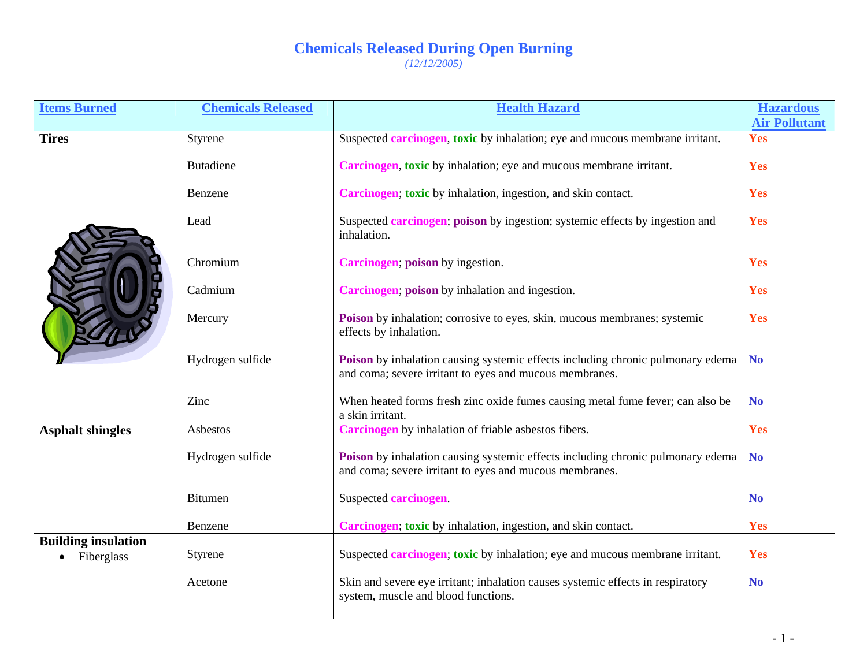| <b>Items Burned</b>                      | <b>Chemicals Released</b> | <b>Health Hazard</b>                                                                                                                       | <b>Hazardous</b>     |
|------------------------------------------|---------------------------|--------------------------------------------------------------------------------------------------------------------------------------------|----------------------|
|                                          |                           |                                                                                                                                            | <b>Air Pollutant</b> |
| <b>Tires</b>                             | Styrene                   | Suspected <b>carcinogen</b> , toxic by inhalation; eye and mucous membrane irritant.                                                       | Yes                  |
|                                          | <b>Butadiene</b>          | Carcinogen, toxic by inhalation; eye and mucous membrane irritant.                                                                         | Yes                  |
|                                          | Benzene                   | Carcinogen; toxic by inhalation, ingestion, and skin contact.                                                                              | Yes                  |
|                                          | Lead                      | Suspected <b>carcinogen</b> ; poison by ingestion; systemic effects by ingestion and<br>inhalation.                                        | Yes                  |
|                                          | Chromium                  | Carcinogen; poison by ingestion.                                                                                                           | Yes                  |
|                                          | Cadmium                   | Carcinogen, poison by inhalation and ingestion.                                                                                            | Yes                  |
|                                          | Mercury                   | Poison by inhalation; corrosive to eyes, skin, mucous membranes; systemic<br>effects by inhalation.                                        | Yes                  |
|                                          | Hydrogen sulfide          | Poison by inhalation causing systemic effects including chronic pulmonary edema<br>and coma; severe irritant to eyes and mucous membranes. | <b>No</b>            |
|                                          | Zinc                      | When heated forms fresh zinc oxide fumes causing metal fume fever; can also be<br>a skin irritant.                                         | N <sub>o</sub>       |
| <b>Asphalt shingles</b>                  | Asbestos                  | Carcinogen by inhalation of friable asbestos fibers.                                                                                       | Yes                  |
|                                          | Hydrogen sulfide          | Poison by inhalation causing systemic effects including chronic pulmonary edema<br>and coma; severe irritant to eyes and mucous membranes. | <b>No</b>            |
|                                          | <b>Bitumen</b>            | Suspected carcinogen.                                                                                                                      | N <sub>o</sub>       |
|                                          | Benzene                   | Carcinogen; toxic by inhalation, ingestion, and skin contact.                                                                              | Yes                  |
| <b>Building insulation</b><br>Fiberglass | Styrene                   | Suspected <b>carcinogen</b> ; toxic by inhalation; eye and mucous membrane irritant.                                                       | Yes                  |
|                                          | Acetone                   | Skin and severe eye irritant; inhalation causes systemic effects in respiratory<br>system, muscle and blood functions.                     | N <sub>o</sub>       |
|                                          |                           |                                                                                                                                            |                      |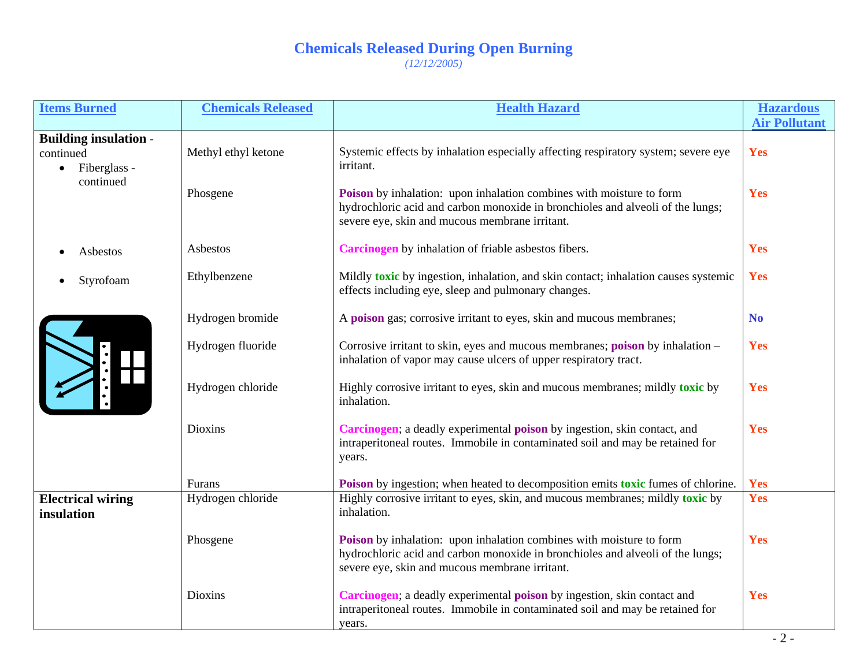| <b>Items Burned</b>                                                                 | <b>Chemicals Released</b> | <b>Health Hazard</b>                                                                                                                                                                                            | <b>Hazardous</b>     |
|-------------------------------------------------------------------------------------|---------------------------|-----------------------------------------------------------------------------------------------------------------------------------------------------------------------------------------------------------------|----------------------|
|                                                                                     |                           |                                                                                                                                                                                                                 | <b>Air Pollutant</b> |
| <b>Building insulation -</b><br>continued<br>Fiberglass -<br>$\bullet$<br>continued | Methyl ethyl ketone       | Systemic effects by inhalation especially affecting respiratory system; severe eye<br>irritant.                                                                                                                 | Yes                  |
|                                                                                     | Phosgene                  | <b>Poison</b> by inhalation: upon inhalation combines with moisture to form<br>hydrochloric acid and carbon monoxide in bronchioles and alveoli of the lungs;<br>severe eye, skin and mucous membrane irritant. | Yes                  |
| Asbestos                                                                            | Asbestos                  | Carcinogen by inhalation of friable asbestos fibers.                                                                                                                                                            | Yes                  |
| Styrofoam                                                                           | Ethylbenzene              | Mildly toxic by ingestion, inhalation, and skin contact; inhalation causes systemic<br>effects including eye, sleep and pulmonary changes.                                                                      | Yes                  |
|                                                                                     | Hydrogen bromide          | A poison gas; corrosive irritant to eyes, skin and mucous membranes;                                                                                                                                            | <b>No</b>            |
|                                                                                     | Hydrogen fluoride         | Corrosive irritant to skin, eyes and mucous membranes; poison by inhalation -<br>inhalation of vapor may cause ulcers of upper respiratory tract.                                                               | Yes                  |
|                                                                                     | Hydrogen chloride         | Highly corrosive irritant to eyes, skin and mucous membranes; mildly toxic by<br>inhalation.                                                                                                                    | Yes                  |
|                                                                                     | <b>Dioxins</b>            | Carcinogen; a deadly experimental poison by ingestion, skin contact, and<br>intraperitoneal routes. Immobile in contaminated soil and may be retained for<br>years.                                             | Yes                  |
|                                                                                     | Furans                    | Poison by ingestion; when heated to decomposition emits toxic fumes of chlorine.                                                                                                                                | Yes                  |
| <b>Electrical wiring</b><br>insulation                                              | Hydrogen chloride         | Highly corrosive irritant to eyes, skin, and mucous membranes; mildly toxic by<br>inhalation.                                                                                                                   | Yes                  |
|                                                                                     | Phosgene                  | Poison by inhalation: upon inhalation combines with moisture to form<br>hydrochloric acid and carbon monoxide in bronchioles and alveoli of the lungs;<br>severe eye, skin and mucous membrane irritant.        | Yes                  |
|                                                                                     | Dioxins                   | Carcinogen; a deadly experimental poison by ingestion, skin contact and<br>intraperitoneal routes. Immobile in contaminated soil and may be retained for<br>years.                                              | Yes                  |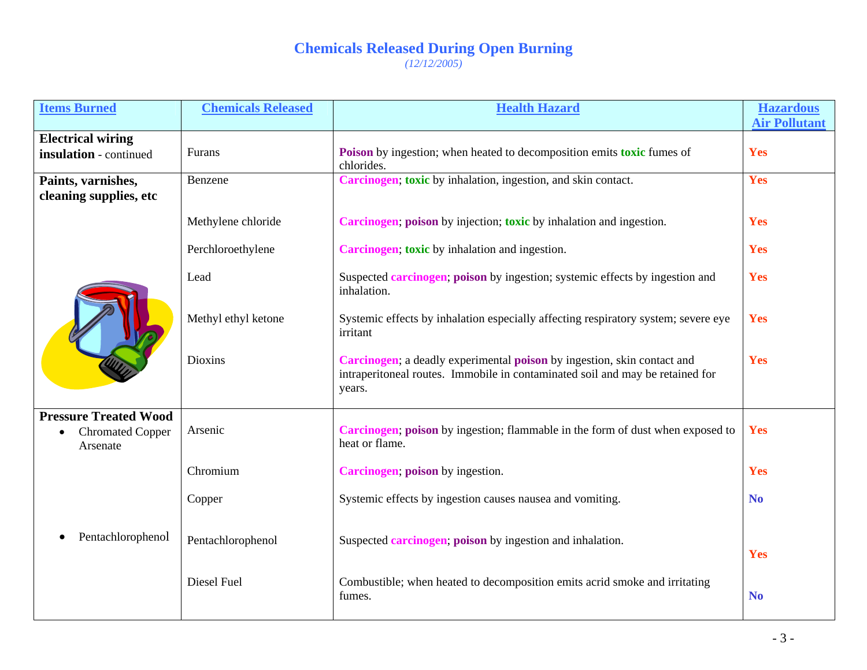| <b>Items Burned</b>                                | <b>Chemicals Released</b> | <b>Health Hazard</b>                                                                                                                                               | <b>Hazardous</b><br><b>Air Pollutant</b> |
|----------------------------------------------------|---------------------------|--------------------------------------------------------------------------------------------------------------------------------------------------------------------|------------------------------------------|
| <b>Electrical wiring</b><br>insulation - continued | Furans                    | Poison by ingestion; when heated to decomposition emits toxic fumes of<br>chlorides.                                                                               | Yes                                      |
| Paints, varnishes,<br>cleaning supplies, etc       | Benzene                   | Carcinogen; toxic by inhalation, ingestion, and skin contact.                                                                                                      | Yes                                      |
|                                                    | Methylene chloride        | Carcinogen; poison by injection; toxic by inhalation and ingestion.                                                                                                | Yes                                      |
|                                                    | Perchloroethylene         | Carcinogen; toxic by inhalation and ingestion.                                                                                                                     | Yes                                      |
|                                                    | Lead                      | Suspected <b>carcinogen</b> ; poison by ingestion; systemic effects by ingestion and<br>inhalation.                                                                | Yes                                      |
|                                                    | Methyl ethyl ketone       | Systemic effects by inhalation especially affecting respiratory system; severe eye<br>irritant                                                                     | Yes                                      |
|                                                    | <b>Dioxins</b>            | Carcinogen; a deadly experimental poison by ingestion, skin contact and<br>intraperitoneal routes. Immobile in contaminated soil and may be retained for<br>years. | Yes                                      |
| <b>Pressure Treated Wood</b>                       | Arsenic                   | Carcinogen; poison by ingestion; flammable in the form of dust when exposed to                                                                                     | Yes                                      |
| <b>Chromated Copper</b><br>Arsenate                |                           | heat or flame.                                                                                                                                                     |                                          |
|                                                    | Chromium                  | Carcinogen; poison by ingestion.                                                                                                                                   | Yes                                      |
|                                                    | Copper                    | Systemic effects by ingestion causes nausea and vomiting.                                                                                                          | N <sub>0</sub>                           |
| Pentachlorophenol                                  | Pentachlorophenol         | Suspected <b>carcinogen</b> ; poison by ingestion and inhalation.                                                                                                  | Yes                                      |
|                                                    | Diesel Fuel               | Combustible; when heated to decomposition emits acrid smoke and irritating<br>fumes.                                                                               | <b>No</b>                                |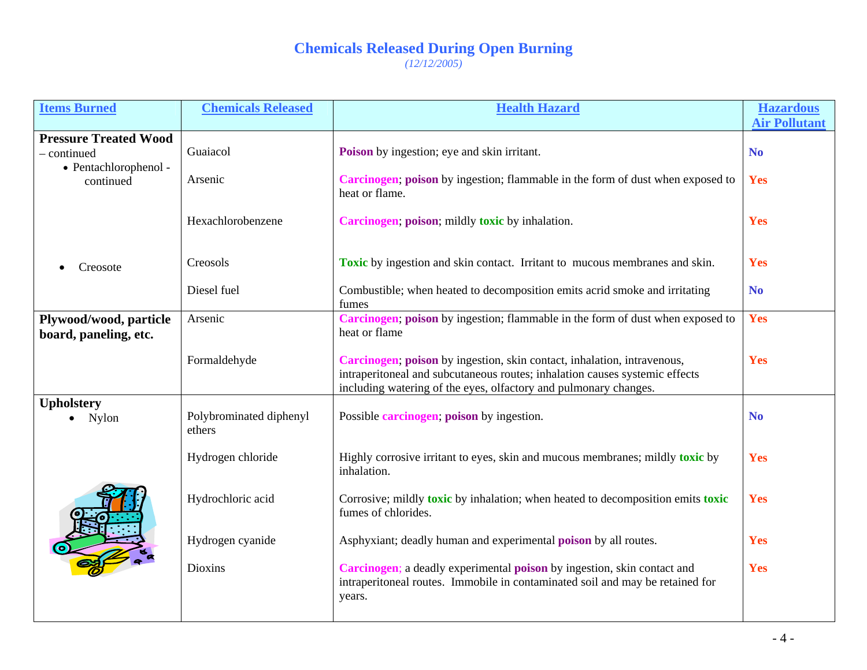| <b>Items Burned</b>                                                               | <b>Chemicals Released</b>         | <b>Health Hazard</b>                                                                                                                                                                                                       | <b>Hazardous</b>     |
|-----------------------------------------------------------------------------------|-----------------------------------|----------------------------------------------------------------------------------------------------------------------------------------------------------------------------------------------------------------------------|----------------------|
|                                                                                   |                                   |                                                                                                                                                                                                                            | <b>Air Pollutant</b> |
| <b>Pressure Treated Wood</b><br>- continued<br>• Pentachlorophenol -<br>continued | Guaiacol                          | Poison by ingestion; eye and skin irritant.                                                                                                                                                                                | N <sub>o</sub>       |
|                                                                                   | Arsenic                           | Carcinogen; poison by ingestion; flammable in the form of dust when exposed to<br>heat or flame.                                                                                                                           | Yes                  |
|                                                                                   | Hexachlorobenzene                 | Carcinogen; poison; mildly toxic by inhalation.                                                                                                                                                                            | Yes                  |
| Creosote                                                                          | Creosols                          | <b>Toxic</b> by ingestion and skin contact. Irritant to mucous membranes and skin.                                                                                                                                         | Yes                  |
|                                                                                   | Diesel fuel                       | Combustible; when heated to decomposition emits acrid smoke and irritating<br>fumes                                                                                                                                        | N <sub>o</sub>       |
| Plywood/wood, particle<br>board, paneling, etc.                                   | Arsenic                           | Carcinogen; poison by ingestion; flammable in the form of dust when exposed to<br>heat or flame                                                                                                                            | Yes                  |
|                                                                                   | Formaldehyde                      | Carcinogen; poison by ingestion, skin contact, inhalation, intravenous,<br>intraperitoneal and subcutaneous routes; inhalation causes systemic effects<br>including watering of the eyes, olfactory and pulmonary changes. | Yes                  |
| <b>Upholstery</b><br>Nylon                                                        | Polybrominated diphenyl<br>ethers | Possible <b>carcinogen</b> ; poison by ingestion.                                                                                                                                                                          | N <sub>o</sub>       |
|                                                                                   | Hydrogen chloride                 | Highly corrosive irritant to eyes, skin and mucous membranes; mildly toxic by<br>inhalation.                                                                                                                               | Yes                  |
|                                                                                   | Hydrochloric acid                 | Corrosive; mildly toxic by inhalation; when heated to decomposition emits toxic<br>fumes of chlorides.                                                                                                                     | Yes                  |
|                                                                                   | Hydrogen cyanide                  | Asphyxiant; deadly human and experimental <b>poison</b> by all routes.                                                                                                                                                     | Yes                  |
|                                                                                   | <b>Dioxins</b>                    | Carcinogen; a deadly experimental poison by ingestion, skin contact and<br>intraperitoneal routes. Immobile in contaminated soil and may be retained for<br>years.                                                         | Yes                  |
|                                                                                   |                                   |                                                                                                                                                                                                                            |                      |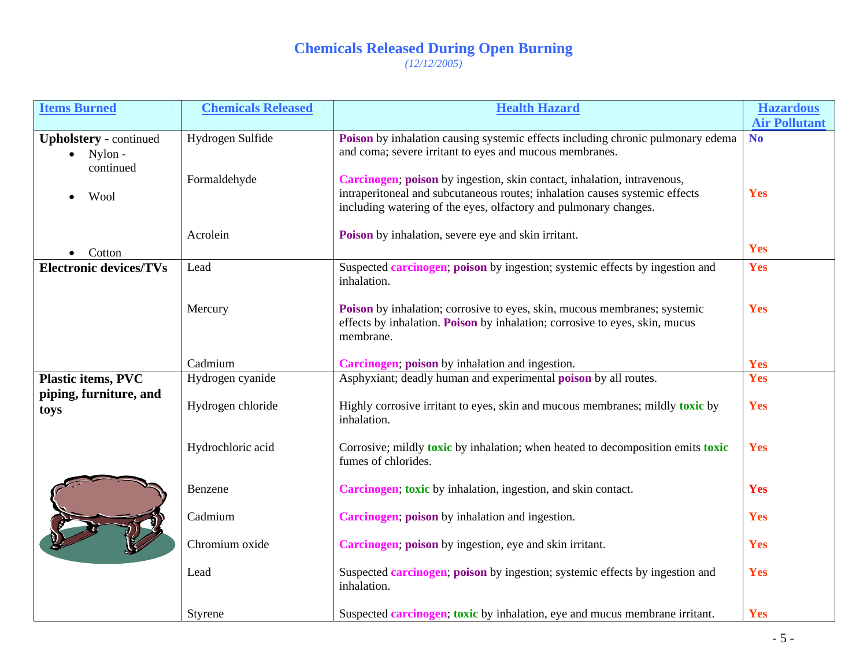| <b>Items Burned</b>           | <b>Chemicals Released</b> | <b>Health Hazard</b>                                                                                                                            | <b>Hazardous</b>     |
|-------------------------------|---------------------------|-------------------------------------------------------------------------------------------------------------------------------------------------|----------------------|
|                               |                           |                                                                                                                                                 | <b>Air Pollutant</b> |
| <b>Upholstery</b> - continued | Hydrogen Sulfide          | Poison by inhalation causing systemic effects including chronic pulmonary edema                                                                 | <b>No</b>            |
| Nylon -                       |                           | and coma; severe irritant to eyes and mucous membranes.                                                                                         |                      |
| continued                     |                           |                                                                                                                                                 |                      |
|                               | Formaldehyde              | Carcinogen; poison by ingestion, skin contact, inhalation, intravenous,                                                                         | Yes                  |
| Wool                          |                           | intraperitoneal and subcutaneous routes; inhalation causes systemic effects<br>including watering of the eyes, olfactory and pulmonary changes. |                      |
|                               |                           |                                                                                                                                                 |                      |
|                               | Acrolein                  | Poison by inhalation, severe eye and skin irritant.                                                                                             |                      |
|                               |                           |                                                                                                                                                 | Yes                  |
| Cotton                        |                           |                                                                                                                                                 | Yes                  |
| <b>Electronic devices/TVs</b> | Lead                      | Suspected <b>carcinogen</b> ; poison by ingestion; systemic effects by ingestion and<br>inhalation.                                             |                      |
|                               |                           |                                                                                                                                                 |                      |
|                               | Mercury                   | <b>Poison</b> by inhalation; corrosive to eyes, skin, mucous membranes; systemic                                                                | Yes                  |
|                               |                           | effects by inhalation. Poison by inhalation; corrosive to eyes, skin, mucus                                                                     |                      |
|                               |                           | membrane.                                                                                                                                       |                      |
|                               |                           |                                                                                                                                                 |                      |
|                               | Cadmium                   | Carcinogen; poison by inhalation and ingestion.                                                                                                 | Yes                  |
| <b>Plastic items, PVC</b>     | Hydrogen cyanide          | Asphyxiant; deadly human and experimental <b>poison</b> by all routes.                                                                          | Yes                  |
| piping, furniture, and        |                           |                                                                                                                                                 |                      |
| toys                          | Hydrogen chloride         | Highly corrosive irritant to eyes, skin and mucous membranes; mildly toxic by                                                                   | Yes                  |
|                               |                           | inhalation.                                                                                                                                     |                      |
|                               |                           |                                                                                                                                                 |                      |
|                               | Hydrochloric acid         | Corrosive; mildly toxic by inhalation; when heated to decomposition emits toxic                                                                 | Yes                  |
|                               |                           | fumes of chlorides.                                                                                                                             |                      |
|                               | Benzene                   | Carcinogen; toxic by inhalation, ingestion, and skin contact.                                                                                   | Yes                  |
|                               |                           |                                                                                                                                                 |                      |
|                               | Cadmium                   | Carcinogen; poison by inhalation and ingestion.                                                                                                 | Yes                  |
|                               |                           |                                                                                                                                                 |                      |
|                               | Chromium oxide            | Carcinogen; poison by ingestion, eye and skin irritant.                                                                                         | Yes                  |
|                               |                           |                                                                                                                                                 |                      |
|                               | Lead                      | Suspected <b>carcinogen</b> ; poison by ingestion; systemic effects by ingestion and                                                            | Yes                  |
|                               |                           | inhalation.                                                                                                                                     |                      |
|                               |                           |                                                                                                                                                 |                      |
|                               | Styrene                   | Suspected <b>carcinogen</b> ; toxic by inhalation, eye and mucus membrane irritant.                                                             | Yes                  |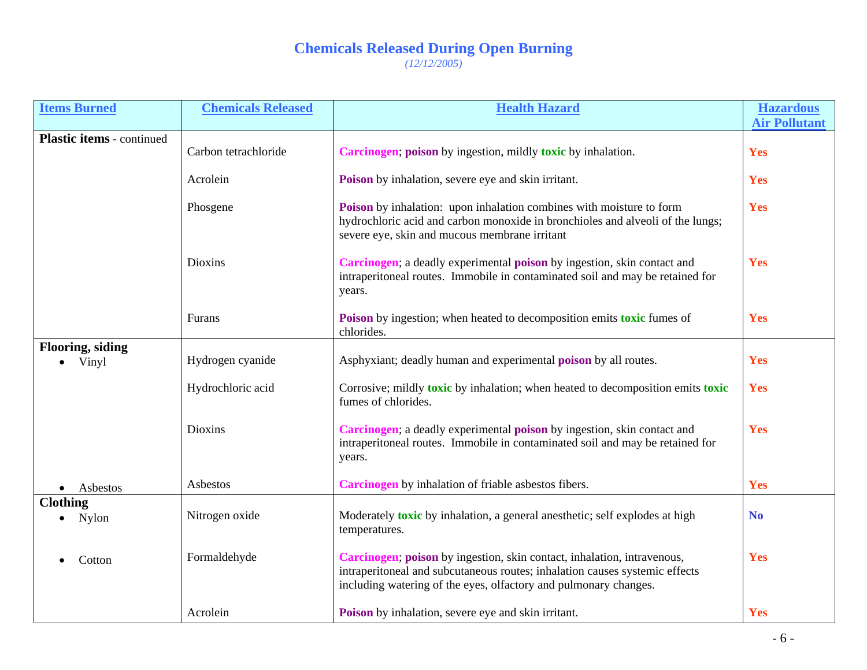| <b>Items Burned</b>              | <b>Chemicals Released</b> | <b>Health Hazard</b>                                                                                                                                                                                                       | <b>Hazardous</b>     |
|----------------------------------|---------------------------|----------------------------------------------------------------------------------------------------------------------------------------------------------------------------------------------------------------------------|----------------------|
|                                  |                           |                                                                                                                                                                                                                            | <b>Air Pollutant</b> |
| <b>Plastic items</b> - continued | Carbon tetrachloride      | Carcinogen; poison by ingestion, mildly toxic by inhalation.                                                                                                                                                               | Yes                  |
|                                  | Acrolein                  | Poison by inhalation, severe eye and skin irritant.                                                                                                                                                                        | Yes                  |
|                                  | Phosgene                  | Poison by inhalation: upon inhalation combines with moisture to form<br>hydrochloric acid and carbon monoxide in bronchioles and alveoli of the lungs;<br>severe eye, skin and mucous membrane irritant                    | Yes                  |
|                                  | Dioxins                   | Carcinogen; a deadly experimental poison by ingestion, skin contact and<br>intraperitoneal routes. Immobile in contaminated soil and may be retained for<br>years.                                                         | Yes                  |
|                                  | Furans                    | Poison by ingestion; when heated to decomposition emits toxic fumes of<br>chlorides.                                                                                                                                       | Yes                  |
| <b>Flooring, siding</b>          |                           |                                                                                                                                                                                                                            |                      |
| Vinyl                            | Hydrogen cyanide          | Asphyxiant; deadly human and experimental <b>poison</b> by all routes.                                                                                                                                                     | Yes                  |
|                                  | Hydrochloric acid         | Corrosive; mildly <b>toxic</b> by inhalation; when heated to decomposition emits <b>toxic</b><br>fumes of chlorides.                                                                                                       | Yes                  |
|                                  | Dioxins                   | Carcinogen; a deadly experimental poison by ingestion, skin contact and<br>intraperitoneal routes. Immobile in contaminated soil and may be retained for<br>years.                                                         | Yes                  |
| Asbestos                         | Asbestos                  | Carcinogen by inhalation of friable asbestos fibers.                                                                                                                                                                       | Yes                  |
| <b>Clothing</b><br>Nylon         | Nitrogen oxide            | Moderately toxic by inhalation, a general anesthetic; self explodes at high<br>temperatures.                                                                                                                               | N <sub>0</sub>       |
| Cotton                           | Formaldehyde              | Carcinogen; poison by ingestion, skin contact, inhalation, intravenous,<br>intraperitoneal and subcutaneous routes; inhalation causes systemic effects<br>including watering of the eyes, olfactory and pulmonary changes. | Yes                  |
|                                  | Acrolein                  | Poison by inhalation, severe eye and skin irritant.                                                                                                                                                                        | Yes                  |